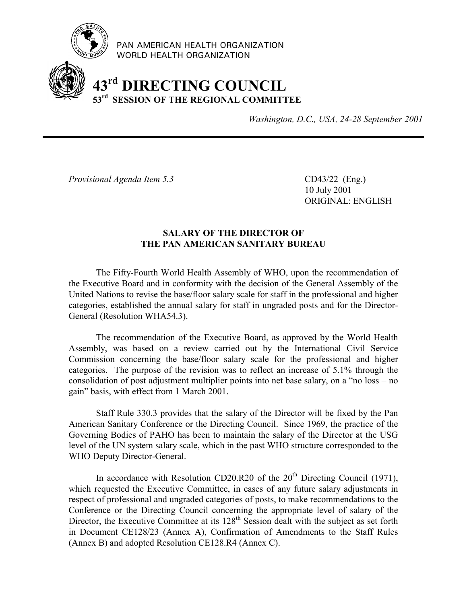

PAN AMERICAN HEALTH ORGANIZATION WORLD HEALTH ORGANIZATION

# **43rd DIRECTING COUNCIL 53rd SESSION OF THE REGIONAL COMMITTEE**

*Washington, D.C., USA, 24-28 September 2001*

*Provisional Agenda Item 5.3* CD43/22 (Eng.)

10 July 2001 ORIGINAL: ENGLISH

## **SALARY OF THE DIRECTOR OF THE PAN AMERICAN SANITARY BUREAU**

The Fifty-Fourth World Health Assembly of WHO, upon the recommendation of the Executive Board and in conformity with the decision of the General Assembly of the United Nations to revise the base/floor salary scale for staff in the professional and higher categories, established the annual salary for staff in ungraded posts and for the Director-General (Resolution WHA54.3).

The recommendation of the Executive Board, as approved by the World Health Assembly, was based on a review carried out by the International Civil Service Commission concerning the base/floor salary scale for the professional and higher categories. The purpose of the revision was to reflect an increase of 5.1% through the consolidation of post adjustment multiplier points into net base salary, on a "no loss – no gain" basis, with effect from 1 March 2001.

Staff Rule 330.3 provides that the salary of the Director will be fixed by the Pan American Sanitary Conference or the Directing Council. Since 1969, the practice of the Governing Bodies of PAHO has been to maintain the salary of the Director at the USG level of the UN system salary scale, which in the past WHO structure corresponded to the WHO Deputy Director-General.

In accordance with Resolution CD20.R20 of the  $20<sup>th</sup>$  Directing Council (1971), which requested the Executive Committee, in cases of any future salary adjustments in respect of professional and ungraded categories of posts, to make recommendations to the Conference or the Directing Council concerning the appropriate level of salary of the Director, the Executive Committee at its  $128<sup>th</sup>$  Session dealt with the subject as set forth in Document CE128/23 (Annex A), Confirmation of Amendments to the Staff Rules (Annex B) and adopted Resolution CE128.R4 (Annex C).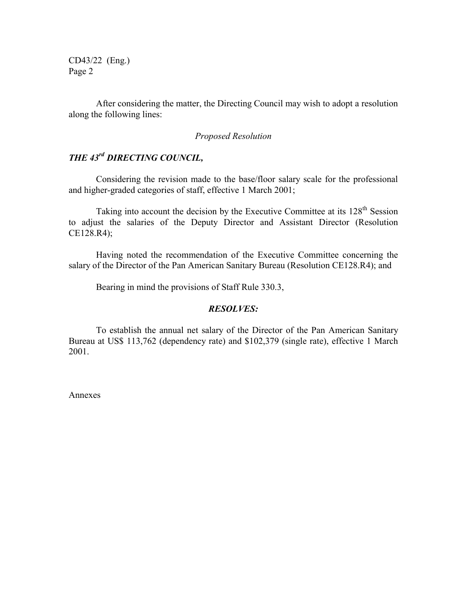CD43/22 (Eng.) Page 2

After considering the matter, the Directing Council may wish to adopt a resolution along the following lines:

#### *Proposed Resolution*

# *THE 43rd DIRECTING COUNCIL,*

Considering the revision made to the base/floor salary scale for the professional and higher-graded categories of staff, effective 1 March 2001;

Taking into account the decision by the Executive Committee at its 128<sup>th</sup> Session to adjust the salaries of the Deputy Director and Assistant Director (Resolution CE128.R4);

Having noted the recommendation of the Executive Committee concerning the salary of the Director of the Pan American Sanitary Bureau (Resolution CE128.R4); and

Bearing in mind the provisions of Staff Rule 330.3,

#### *RESOLVES:*

To establish the annual net salary of the Director of the Pan American Sanitary Bureau at US\$ 113,762 (dependency rate) and \$102,379 (single rate), effective 1 March 2001.

Annexes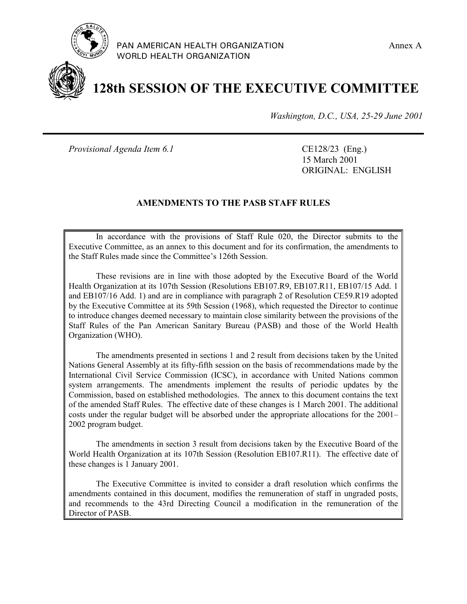



**128th SESSION OF THE EXECUTIVE COMMITTEE**

*Washington, D.C., USA, 25-29 June 2001*

*Provisional Agenda Item 6.1* CE128/23 (Eng.)

15 March 2001 ORIGINAL: ENGLISH

## **AMENDMENTS TO THE PASB STAFF RULES**

In accordance with the provisions of Staff Rule 020, the Director submits to the Executive Committee, as an annex to this document and for its confirmation, the amendments to the Staff Rules made since the Committee's 126th Session.

These revisions are in line with those adopted by the Executive Board of the World Health Organization at its 107th Session (Resolutions EB107.R9, EB107.R11, EB107/15 Add. 1 and EB107/16 Add. 1) and are in compliance with paragraph 2 of Resolution CE59.R19 adopted by the Executive Committee at its 59th Session (1968), which requested the Director to continue to introduce changes deemed necessary to maintain close similarity between the provisions of the Staff Rules of the Pan American Sanitary Bureau (PASB) and those of the World Health Organization (WHO).

The amendments presented in sections 1 and 2 result from decisions taken by the United Nations General Assembly at its fifty-fifth session on the basis of recommendations made by the International Civil Service Commission (ICSC), in accordance with United Nations common system arrangements. The amendments implement the results of periodic updates by the Commission, based on established methodologies. The annex to this document contains the text of the amended Staff Rules. The effective date of these changes is 1 March 2001. The additional costs under the regular budget will be absorbed under the appropriate allocations for the 2001– 2002 program budget.

The amendments in section 3 result from decisions taken by the Executive Board of the World Health Organization at its 107th Session (Resolution EB107.R11). The effective date of these changes is 1 January 2001.

The Executive Committee is invited to consider a draft resolution which confirms the amendments contained in this document, modifies the remuneration of staff in ungraded posts, and recommends to the 43rd Directing Council a modification in the remuneration of the Director of PASB.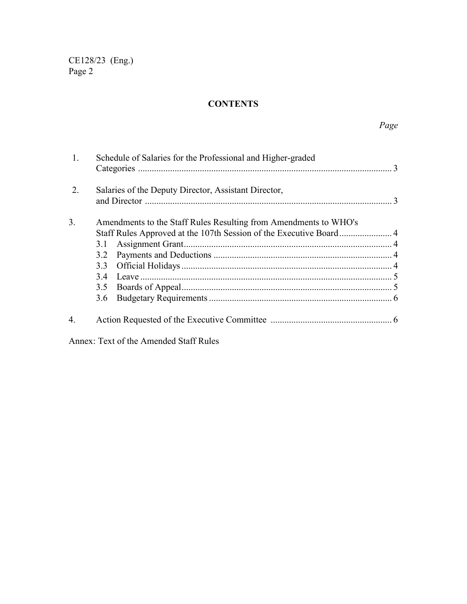## **CONTENTS**

| $\mathbf{1}$ | Schedule of Salaries for the Professional and Higher-graded                                              |  |  |  |  |  |  |  |  |
|--------------|----------------------------------------------------------------------------------------------------------|--|--|--|--|--|--|--|--|
| 2            | Salaries of the Deputy Director, Assistant Director,                                                     |  |  |  |  |  |  |  |  |
| 3.           | Amendments to the Staff Rules Resulting from Amendments to WHO's<br>3.1<br>3.2<br>33<br>34<br>3.5<br>3.6 |  |  |  |  |  |  |  |  |
| 4.           |                                                                                                          |  |  |  |  |  |  |  |  |

Annex: Text of the Amended Staff Rules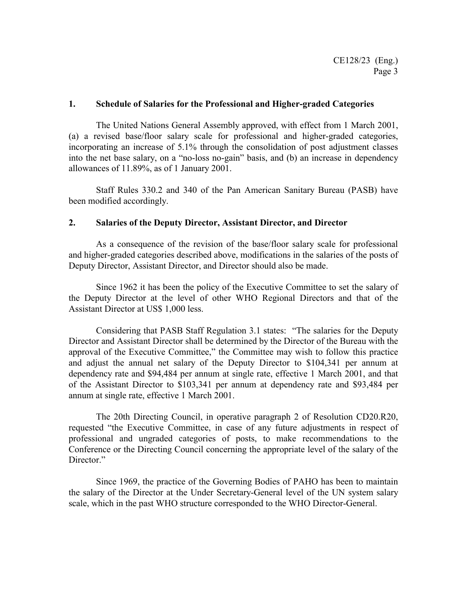#### **1. Schedule of Salaries for the Professional and Higher-graded Categories**

The United Nations General Assembly approved, with effect from 1 March 2001, (a) a revised base/floor salary scale for professional and higher-graded categories, incorporating an increase of 5.1% through the consolidation of post adjustment classes into the net base salary, on a "no-loss no-gain" basis, and (b) an increase in dependency allowances of 11.89%, as of 1 January 2001.

Staff Rules 330.2 and 340 of the Pan American Sanitary Bureau (PASB) have been modified accordingly.

#### **2. Salaries of the Deputy Director, Assistant Director, and Director**

As a consequence of the revision of the base/floor salary scale for professional and higher-graded categories described above, modifications in the salaries of the posts of Deputy Director, Assistant Director, and Director should also be made.

Since 1962 it has been the policy of the Executive Committee to set the salary of the Deputy Director at the level of other WHO Regional Directors and that of the Assistant Director at US\$ 1,000 less.

Considering that PASB Staff Regulation 3.1 states: "The salaries for the Deputy Director and Assistant Director shall be determined by the Director of the Bureau with the approval of the Executive Committee," the Committee may wish to follow this practice and adjust the annual net salary of the Deputy Director to \$104,341 per annum at dependency rate and \$94,484 per annum at single rate, effective 1 March 2001, and that of the Assistant Director to \$103,341 per annum at dependency rate and \$93,484 per annum at single rate, effective 1 March 2001.

The 20th Directing Council, in operative paragraph 2 of Resolution CD20.R20, requested "the Executive Committee, in case of any future adjustments in respect of professional and ungraded categories of posts, to make recommendations to the Conference or the Directing Council concerning the appropriate level of the salary of the Director."

Since 1969, the practice of the Governing Bodies of PAHO has been to maintain the salary of the Director at the Under Secretary-General level of the UN system salary scale, which in the past WHO structure corresponded to the WHO Director-General.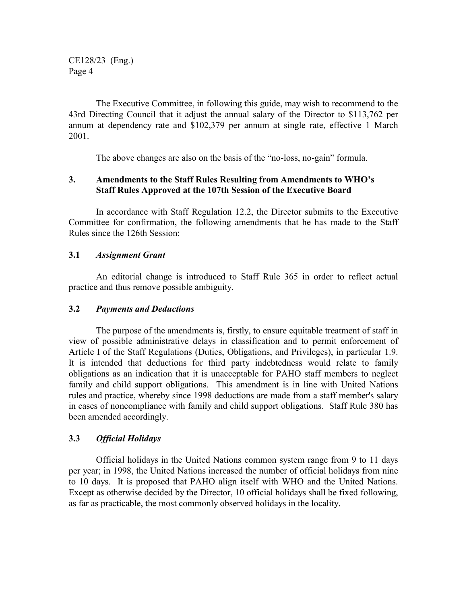The Executive Committee, in following this guide, may wish to recommend to the 43rd Directing Council that it adjust the annual salary of the Director to \$113,762 per annum at dependency rate and \$102,379 per annum at single rate, effective 1 March 2001.

The above changes are also on the basis of the "no-loss, no-gain" formula.

## **3. Amendments to the Staff Rules Resulting from Amendments to WHO's Staff Rules Approved at the 107th Session of the Executive Board**

In accordance with Staff Regulation 12.2, the Director submits to the Executive Committee for confirmation, the following amendments that he has made to the Staff Rules since the 126th Session:

## **3.1** *Assignment Grant*

An editorial change is introduced to Staff Rule 365 in order to reflect actual practice and thus remove possible ambiguity.

#### **3.2** *Payments and Deductions*

The purpose of the amendments is, firstly, to ensure equitable treatment of staff in view of possible administrative delays in classification and to permit enforcement of Article I of the Staff Regulations (Duties, Obligations, and Privileges), in particular 1.9. It is intended that deductions for third party indebtedness would relate to family obligations as an indication that it is unacceptable for PAHO staff members to neglect family and child support obligations. This amendment is in line with United Nations rules and practice, whereby since 1998 deductions are made from a staff member's salary in cases of noncompliance with family and child support obligations. Staff Rule 380 has been amended accordingly.

## **3.3** *Official Holidays*

Official holidays in the United Nations common system range from 9 to 11 days per year; in 1998, the United Nations increased the number of official holidays from nine to 10 days. It is proposed that PAHO align itself with WHO and the United Nations. Except as otherwise decided by the Director, 10 official holidays shall be fixed following, as far as practicable, the most commonly observed holidays in the locality.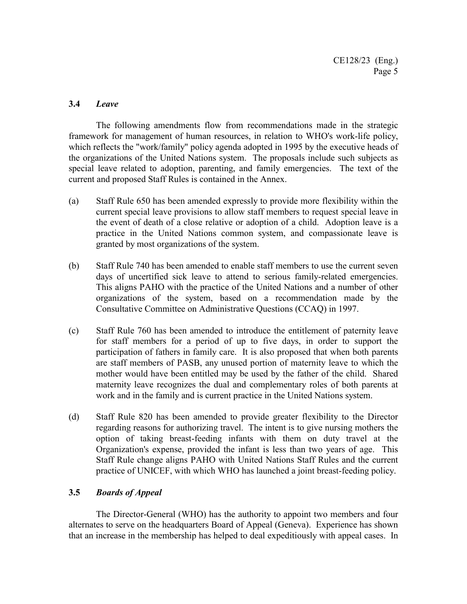## **3.4** *Leave*

The following amendments flow from recommendations made in the strategic framework for management of human resources, in relation to WHO's work-life policy, which reflects the "work/family" policy agenda adopted in 1995 by the executive heads of the organizations of the United Nations system. The proposals include such subjects as special leave related to adoption, parenting, and family emergencies. The text of the current and proposed Staff Rules is contained in the Annex.

- (a) Staff Rule 650 has been amended expressly to provide more flexibility within the current special leave provisions to allow staff members to request special leave in the event of death of a close relative or adoption of a child. Adoption leave is a practice in the United Nations common system, and compassionate leave is granted by most organizations of the system.
- (b) Staff Rule 740 has been amended to enable staff members to use the current seven days of uncertified sick leave to attend to serious family-related emergencies. This aligns PAHO with the practice of the United Nations and a number of other organizations of the system, based on a recommendation made by the Consultative Committee on Administrative Questions (CCAQ) in 1997.
- (c) Staff Rule 760 has been amended to introduce the entitlement of paternity leave for staff members for a period of up to five days, in order to support the participation of fathers in family care. It is also proposed that when both parents are staff members of PASB, any unused portion of maternity leave to which the mother would have been entitled may be used by the father of the child. Shared maternity leave recognizes the dual and complementary roles of both parents at work and in the family and is current practice in the United Nations system.
- (d) Staff Rule 820 has been amended to provide greater flexibility to the Director regarding reasons for authorizing travel. The intent is to give nursing mothers the option of taking breast-feeding infants with them on duty travel at the Organization's expense, provided the infant is less than two years of age. This Staff Rule change aligns PAHO with United Nations Staff Rules and the current practice of UNICEF, with which WHO has launched a joint breast-feeding policy.

## **3.5** *Boards of Appeal*

The Director-General (WHO) has the authority to appoint two members and four alternates to serve on the headquarters Board of Appeal (Geneva). Experience has shown that an increase in the membership has helped to deal expeditiously with appeal cases. In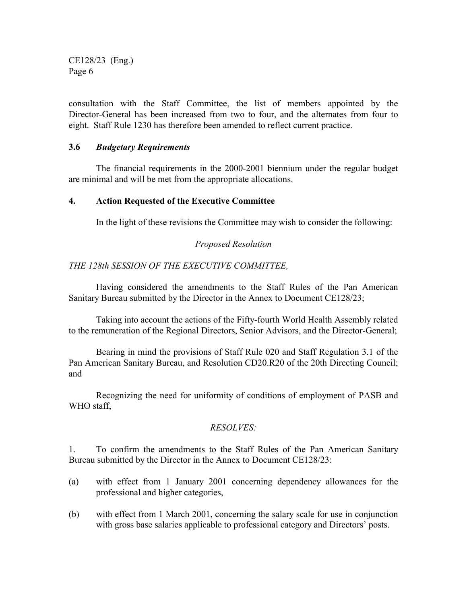consultation with the Staff Committee, the list of members appointed by the Director-General has been increased from two to four, and the alternates from four to eight. Staff Rule 1230 has therefore been amended to reflect current practice.

## **3.6** *Budgetary Requirements*

The financial requirements in the 2000-2001 biennium under the regular budget are minimal and will be met from the appropriate allocations.

#### **4. Action Requested of the Executive Committee**

In the light of these revisions the Committee may wish to consider the following:

## *Proposed Resolution*

## *THE 128th SESSION OF THE EXECUTIVE COMMITTEE,*

Having considered the amendments to the Staff Rules of the Pan American Sanitary Bureau submitted by the Director in the Annex to Document CE128/23;

Taking into account the actions of the Fifty-fourth World Health Assembly related to the remuneration of the Regional Directors, Senior Advisors, and the Director-General;

Bearing in mind the provisions of Staff Rule 020 and Staff Regulation 3.1 of the Pan American Sanitary Bureau, and Resolution CD20.R20 of the 20th Directing Council; and

Recognizing the need for uniformity of conditions of employment of PASB and WHO staff,

## *RESOLVES:*

1. To confirm the amendments to the Staff Rules of the Pan American Sanitary Bureau submitted by the Director in the Annex to Document CE128/23:

- (a) with effect from 1 January 2001 concerning dependency allowances for the professional and higher categories,
- (b) with effect from 1 March 2001, concerning the salary scale for use in conjunction with gross base salaries applicable to professional category and Directors' posts.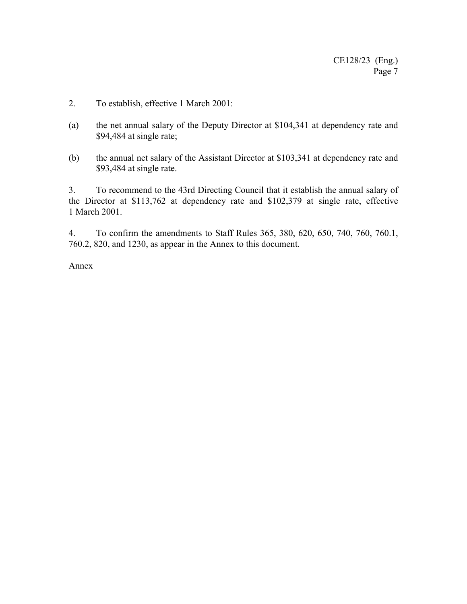- 2. To establish, effective 1 March 2001:
- (a) the net annual salary of the Deputy Director at \$104,341 at dependency rate and \$94,484 at single rate;
- (b) the annual net salary of the Assistant Director at \$103,341 at dependency rate and \$93,484 at single rate.

3. To recommend to the 43rd Directing Council that it establish the annual salary of the Director at \$113,762 at dependency rate and \$102,379 at single rate, effective 1 March 2001.

4. To confirm the amendments to Staff Rules 365, 380, 620, 650, 740, 760, 760.1, 760.2, 820, and 1230, as appear in the Annex to this document.

Annex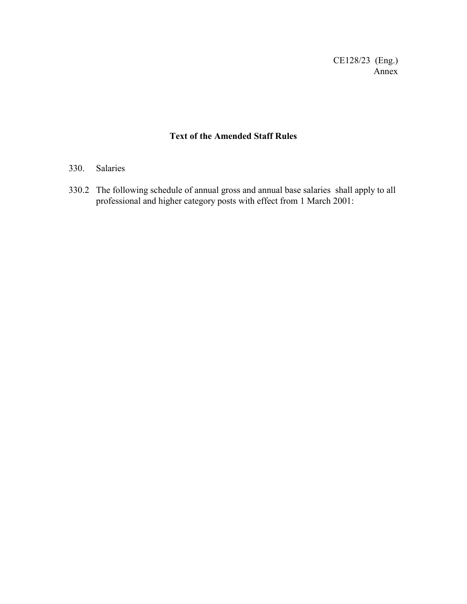CE128/23 (Eng.) Annex

# **Text of the Amended Staff Rules**

## 330. Salaries

330.2 The following schedule of annual gross and annual base salaries shall apply to all professional and higher category posts with effect from 1 March 2001: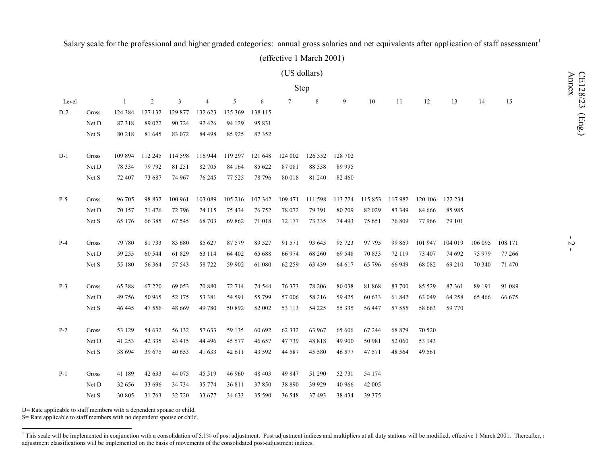# Salary scale for the professional and higher graded categories: annual gross salaries and net equivalents after application of staff assessment<sup>1</sup>

(effective 1 March 2001)

|       |       |          |                |         |         |         |         | (US dollars)   |             |         |         |         |         |         |         |         |
|-------|-------|----------|----------------|---------|---------|---------|---------|----------------|-------------|---------|---------|---------|---------|---------|---------|---------|
|       |       |          |                |         |         |         |         | Step           |             |         |         |         |         |         |         |         |
| Level |       | -1       | $\overline{2}$ | 3       | 4       | 5       | 6       | $\overline{7}$ | $\,$ 8 $\,$ | 9       | 10      | 11      | 12      | 13      | 14      | 15      |
| $D-2$ | Gross | 124 384  | 127 132        | 129 877 | 132 623 | 135 369 | 138 115 |                |             |         |         |         |         |         |         |         |
|       | Net D | 87318    | 89 022         | 90 724  | 92 4 26 | 94 129  | 95 831  |                |             |         |         |         |         |         |         |         |
|       | Net S | 80 218   | 81 645         | 83 072  | 84 498  | 85 925  | 87 352  |                |             |         |         |         |         |         |         |         |
| $D-1$ | Gross | 109 894  | 112 245        | 114 598 | 116 944 | 119 297 | 121 648 | 124 002        | 126 352     | 128 702 |         |         |         |         |         |         |
|       | Net D | 78 3 3 4 | 79 792         | 81 251  | 82 705  | 84 164  | 85 622  | 87 081         | 88 538      | 89 995  |         |         |         |         |         |         |
|       | Net S | 72 407   | 73 687         | 74 967  | 76 245  | 77 525  | 78 796  | 80 018         | 81 240      | 82 460  |         |         |         |         |         |         |
| $P-5$ | Gross | 96 705   | 98 832         | 100 961 | 103 089 | 105 216 | 107 342 | 109 471        | 111 598     | 113 724 | 115 853 | 117982  | 120 106 | 122 234 |         |         |
|       | Net D | 70 157   | 71 476         | 72 796  | 74 115  | 75 434  | 76 752  | 78 072         | 79 391      | 80 709  | 82 0 29 | 83 349  | 84 666  | 85 985  |         |         |
|       | Net S | 65 176   | 66 385         | 67 545  | 68 703  | 69 862  | 71 018  | 72 177         | 73 335      | 74 493  | 75 651  | 76 809  | 77966   | 79 101  |         |         |
| $P-4$ | Gross | 79 780   | 81733          | 83 680  | 85 627  | 87 579  | 89 5 27 | 91 571         | 93 645      | 95 723  | 97 795  | 99 869  | 101 947 | 104 019 | 106 095 | 108 171 |
|       | Net D | 59 255   | 60 544         | 61829   | 63 114  | 64 402  | 65 688  | 66 974         | 68 260      | 69 548  | 70 833  | 72 119  | 73 407  | 74 692  | 75 979  | 77 266  |
|       | Net S | 55 180   | 56 364         | 57 543  | 58 722  | 59 902  | 61 080  | 62 259         | 63 439      | 64 617  | 65 796  | 66 949  | 68 082  | 69 210  | 70 340  | 71 470  |
| $P-3$ | Gross | 65 388   | 67 220         | 69 053  | 70 880  | 72 714  | 74 544  | 76 373         | 78 206      | 80 038  | 81 868  | 83 700  | 85 5 29 | 87 361  | 89 191  | 91 089  |
|       | Net D | 49 756   | 50 965         | 52 175  | 53 381  | 54 591  | 55 799  | 57 006         | 58 216      | 59 4 25 | 60 633  | 61 842  | 63 049  | 64 258  | 65 4 66 | 66 675  |
|       | Net S | 46 445   | 47 556         | 48 669  | 49 780  | 50 892  | 52 002  | 53 113         | 54 225      | 55 335  | 56 447  | 57 555  | 58 663  | 59 770  |         |         |
| $P-2$ | Gross | 53 129   | 54 632         | 56 132  | 57 633  | 59 135  | 60 692  | 62 3 32        | 63 967      | 65 606  | 67 244  | 68 879  | 70 520  |         |         |         |
|       | Net D | 41 253   | 42 3 3 5       | 43 415  | 44 4 96 | 45 577  | 46 657  | 47 739         | 48 818      | 49 900  | 50 981  | 52 060  | 53 143  |         |         |         |
|       | Net S | 38 694   | 39 675         | 40 653  | 41 633  | 42 611  | 43 592  | 44 5 8 7       | 45 580      | 46 577  | 47 571  | 48 5 64 | 49 5 61 |         |         |         |
| $P-1$ | Gross | 41 189   | 42 633         | 44 075  | 45 5 19 | 46 960  | 48 403  | 49 847         | 51 290      | 52 731  | 54 174  |         |         |         |         |         |
|       | Net D | 32 656   | 33 696         | 34 734  | 35 774  | 36 811  | 37850   | 38 890         | 39 9 29     | 40 966  | 42 005  |         |         |         |         |         |
|       | Net S | 30 805   | 31 763         | 32 720  | 33 677  | 34 633  | 35 590  | 36 548         | 37493       | 38 4 34 | 39 375  |         |         |         |         |         |

D= Rate applicable to staff members with a dependent spouse or child.

S= Rate applicable to staff members with no dependent spouse or child.

<sup>&</sup>lt;sup>1</sup> This scale will be implemented in conjunction with a consolidation of 5.1% of post adjustment. Post adjustment indices and multipliers at all duty stations will be modified, effective 1 March 2001. Thereafter, or adjustment classifications will be implemented on the basis of movements of the consolidated post-adjustment indices.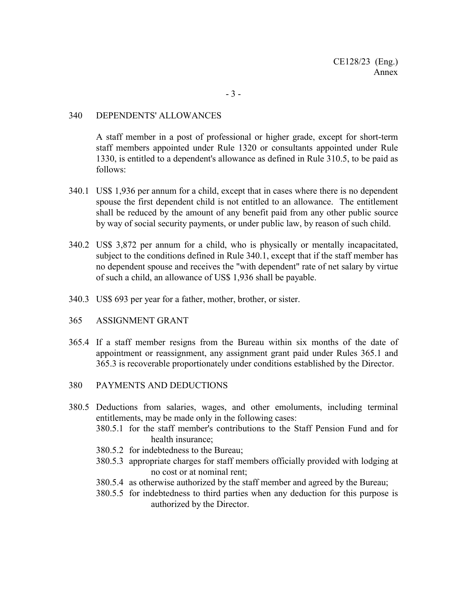### 340 DEPENDENTS' ALLOWANCES

A staff member in a post of professional or higher grade, except for short-term staff members appointed under Rule 1320 or consultants appointed under Rule 1330, is entitled to a dependent's allowance as defined in Rule 310.5, to be paid as follows:

- 340.1 US\$ 1,936 per annum for a child, except that in cases where there is no dependent spouse the first dependent child is not entitled to an allowance. The entitlement shall be reduced by the amount of any benefit paid from any other public source by way of social security payments, or under public law, by reason of such child.
- 340.2 US\$ 3,872 per annum for a child, who is physically or mentally incapacitated, subject to the conditions defined in Rule 340.1, except that if the staff member has no dependent spouse and receives the "with dependent" rate of net salary by virtue of such a child, an allowance of US\$ 1,936 shall be payable.
- 340.3 US\$ 693 per year for a father, mother, brother, or sister.
- 365 ASSIGNMENT GRANT
- 365.4 If a staff member resigns from the Bureau within six months of the date of appointment or reassignment, any assignment grant paid under Rules 365.1 and 365.3 is recoverable proportionately under conditions established by the Director.
- 380 PAYMENTS AND DEDUCTIONS
- 380.5 Deductions from salaries, wages, and other emoluments, including terminal entitlements, may be made only in the following cases:
	- 380.5.1 for the staff member's contributions to the Staff Pension Fund and for health insurance;
	- 380.5.2 for indebtedness to the Bureau;
	- 380.5.3 appropriate charges for staff members officially provided with lodging at no cost or at nominal rent;
	- 380.5.4 as otherwise authorized by the staff member and agreed by the Bureau;
	- 380.5.5 for indebtedness to third parties when any deduction for this purpose is authorized by the Director.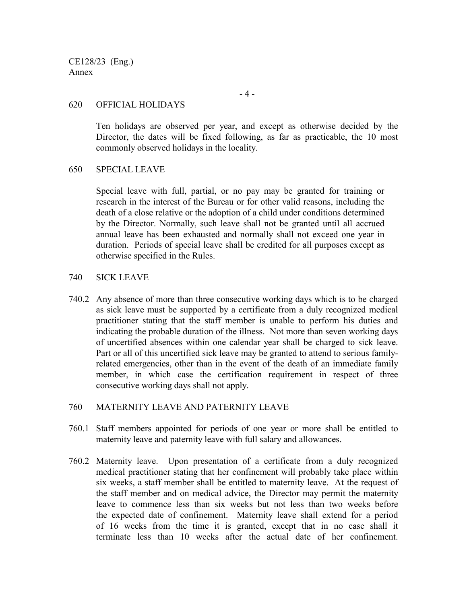CE128/23 (Eng.) Annex

#### - 4 -

#### 620 OFFICIAL HOLIDAYS

Ten holidays are observed per year, and except as otherwise decided by the Director, the dates will be fixed following, as far as practicable, the 10 most commonly observed holidays in the locality.

#### 650 SPECIAL LEAVE

Special leave with full, partial, or no pay may be granted for training or research in the interest of the Bureau or for other valid reasons, including the death of a close relative or the adoption of a child under conditions determined by the Director. Normally, such leave shall not be granted until all accrued annual leave has been exhausted and normally shall not exceed one year in duration. Periods of special leave shall be credited for all purposes except as otherwise specified in the Rules.

#### 740 SICK LEAVE

740.2 Any absence of more than three consecutive working days which is to be charged as sick leave must be supported by a certificate from a duly recognized medical practitioner stating that the staff member is unable to perform his duties and indicating the probable duration of the illness. Not more than seven working days of uncertified absences within one calendar year shall be charged to sick leave. Part or all of this uncertified sick leave may be granted to attend to serious familyrelated emergencies, other than in the event of the death of an immediate family member, in which case the certification requirement in respect of three consecutive working days shall not apply.

#### 760 MATERNITY LEAVE AND PATERNITY LEAVE

- 760.1 Staff members appointed for periods of one year or more shall be entitled to maternity leave and paternity leave with full salary and allowances.
- 760.2 Maternity leave. Upon presentation of a certificate from a duly recognized medical practitioner stating that her confinement will probably take place within six weeks, a staff member shall be entitled to maternity leave. At the request of the staff member and on medical advice, the Director may permit the maternity leave to commence less than six weeks but not less than two weeks before the expected date of confinement. Maternity leave shall extend for a period of 16 weeks from the time it is granted, except that in no case shall it terminate less than 10 weeks after the actual date of her confinement.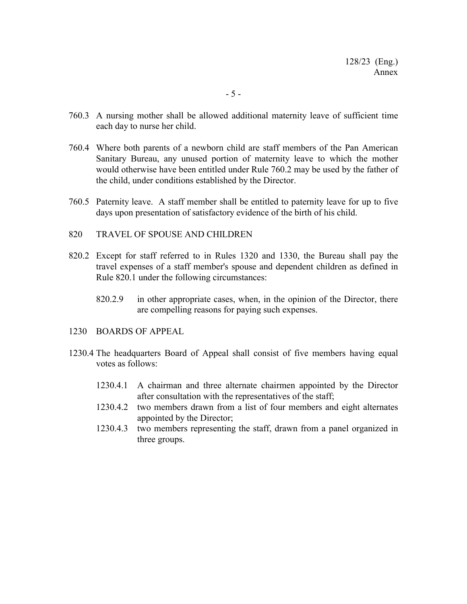- 760.3 A nursing mother shall be allowed additional maternity leave of sufficient time each day to nurse her child.
- 760.4 Where both parents of a newborn child are staff members of the Pan American Sanitary Bureau, any unused portion of maternity leave to which the mother would otherwise have been entitled under Rule 760.2 may be used by the father of the child, under conditions established by the Director.
- 760.5 Paternity leave. A staff member shall be entitled to paternity leave for up to five days upon presentation of satisfactory evidence of the birth of his child.

#### 820 TRAVEL OF SPOUSE AND CHILDREN

- 820.2 Except for staff referred to in Rules 1320 and 1330, the Bureau shall pay the travel expenses of a staff member's spouse and dependent children as defined in Rule 820.1 under the following circumstances:
	- 820.2.9 in other appropriate cases, when, in the opinion of the Director, there are compelling reasons for paying such expenses.
- 1230 BOARDS OF APPEAL
- 1230.4 The headquarters Board of Appeal shall consist of five members having equal votes as follows:
	- 1230.4.1 A chairman and three alternate chairmen appointed by the Director after consultation with the representatives of the staff;
	- 1230.4.2 two members drawn from a list of four members and eight alternates appointed by the Director;
	- 1230.4.3 two members representing the staff, drawn from a panel organized in three groups.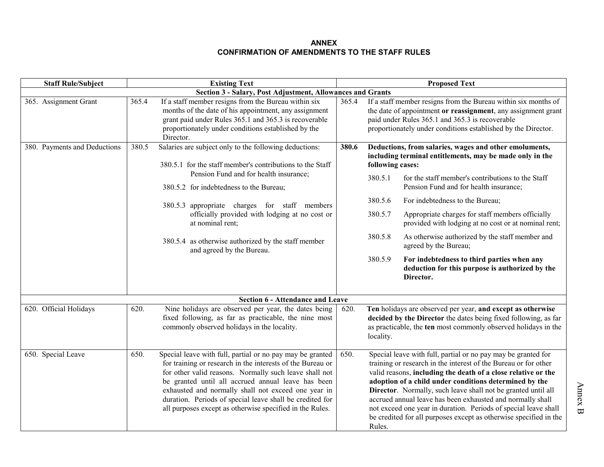#### **ANNEXCONFIRMATION OF AMENDMENTS TO THE STAFF RULES**

| <b>Staff Rule/Subject</b>    |       | <b>Existing Text</b>                                                                                                                                                                                                                                                                                                                                                                                                   | <b>Proposed Text</b> |                                                                                                                                                                                                                                                                                                                                                                                                                                                                                                                                              |                                                                                                                                                                                                                                                                                                                                                                                                                                                                                                                                                            |  |  |  |
|------------------------------|-------|------------------------------------------------------------------------------------------------------------------------------------------------------------------------------------------------------------------------------------------------------------------------------------------------------------------------------------------------------------------------------------------------------------------------|----------------------|----------------------------------------------------------------------------------------------------------------------------------------------------------------------------------------------------------------------------------------------------------------------------------------------------------------------------------------------------------------------------------------------------------------------------------------------------------------------------------------------------------------------------------------------|------------------------------------------------------------------------------------------------------------------------------------------------------------------------------------------------------------------------------------------------------------------------------------------------------------------------------------------------------------------------------------------------------------------------------------------------------------------------------------------------------------------------------------------------------------|--|--|--|
|                              |       | Section 3 - Salary, Post Adjustment, Allowances and Grants                                                                                                                                                                                                                                                                                                                                                             |                      |                                                                                                                                                                                                                                                                                                                                                                                                                                                                                                                                              |                                                                                                                                                                                                                                                                                                                                                                                                                                                                                                                                                            |  |  |  |
| 365. Assignment Grant        | 365.4 | If a staff member resigns from the Bureau within six<br>months of the date of his appointment, any assignment<br>grant paid under Rules 365.1 and 365.3 is recoverable<br>proportionately under conditions established by the<br>Director.                                                                                                                                                                             | 365.4                |                                                                                                                                                                                                                                                                                                                                                                                                                                                                                                                                              | If a staff member resigns from the Bureau within six months of<br>the date of appointment or reassignment, any assignment grant<br>paid under Rules 365.1 and 365.3 is recoverable<br>proportionately under conditions established by the Director.                                                                                                                                                                                                                                                                                                        |  |  |  |
| 380. Payments and Deductions | 380.5 | Salaries are subject only to the following deductions:<br>380.5.1 for the staff member's contributions to the Staff<br>Pension Fund and for health insurance;<br>380.5.2 for indebtedness to the Bureau;<br>380.5.3 appropriate charges for staff members<br>officially provided with lodging at no cost or<br>at nominal rent;<br>380.5.4 as otherwise authorized by the staff member<br>and agreed by the Bureau.    | 380.6                | following cases:<br>380.5.1<br>380.5.6<br>380.5.7<br>380.5.8<br>380.5.9                                                                                                                                                                                                                                                                                                                                                                                                                                                                      | Deductions, from salaries, wages and other emoluments,<br>including terminal entitlements, may be made only in the<br>for the staff member's contributions to the Staff<br>Pension Fund and for health insurance;<br>For indebtedness to the Bureau;<br>Appropriate charges for staff members officially<br>provided with lodging at no cost or at nominal rent;<br>As otherwise authorized by the staff member and<br>agreed by the Bureau;<br>For indebtedness to third parties when any<br>deduction for this purpose is authorized by the<br>Director. |  |  |  |
|                              |       | Section 6 - Attendance and Leave                                                                                                                                                                                                                                                                                                                                                                                       |                      |                                                                                                                                                                                                                                                                                                                                                                                                                                                                                                                                              |                                                                                                                                                                                                                                                                                                                                                                                                                                                                                                                                                            |  |  |  |
| 620. Official Holidays       | 620.  | Nine holidays are observed per year, the dates being<br>fixed following, as far as practicable, the nine most<br>commonly observed holidays in the locality.                                                                                                                                                                                                                                                           | 620.                 | locality.                                                                                                                                                                                                                                                                                                                                                                                                                                                                                                                                    | Ten holidays are observed per year, and except as otherwise<br>decided by the Director the dates being fixed following, as far<br>as practicable, the ten most commonly observed holidays in the                                                                                                                                                                                                                                                                                                                                                           |  |  |  |
| 650. Special Leave           | 650.  | Special leave with full, partial or no pay may be granted<br>for training or research in the interests of the Bureau or<br>for other valid reasons. Normally such leave shall not<br>be granted until all accrued annual leave has been<br>exhausted and normally shall not exceed one year in<br>duration. Periods of special leave shall be credited for<br>all purposes except as otherwise specified in the Rules. | 650.                 | Special leave with full, partial or no pay may be granted for<br>training or research in the interest of the Bureau or for other<br>valid reasons, including the death of a close relative or the<br>adoption of a child under conditions determined by the<br>Director. Normally, such leave shall not be granted until all<br>accrued annual leave has been exhausted and normally shall<br>not exceed one year in duration. Periods of special leave shall<br>be credited for all purposes except as otherwise specified in the<br>Rules. |                                                                                                                                                                                                                                                                                                                                                                                                                                                                                                                                                            |  |  |  |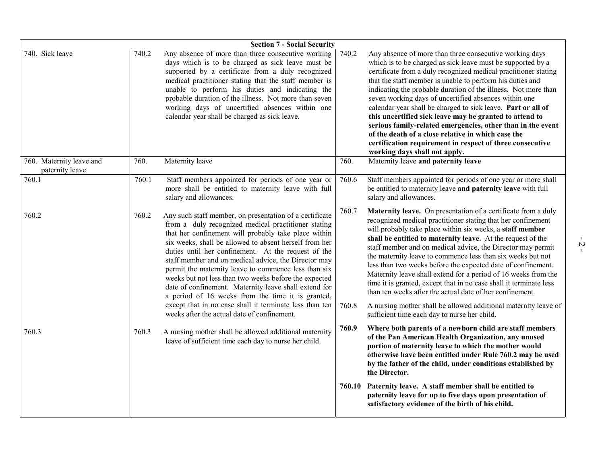| <b>Section 7 - Social Security</b>          |       |                                                                                                                                                                                                                                                                                                                                                                                                                                                                                                                                                                                |       |                                                                                                                                                                                                                                                                                                                                                                                                                                                                                                                                                                                                                                                                                                                                 |  |  |  |  |
|---------------------------------------------|-------|--------------------------------------------------------------------------------------------------------------------------------------------------------------------------------------------------------------------------------------------------------------------------------------------------------------------------------------------------------------------------------------------------------------------------------------------------------------------------------------------------------------------------------------------------------------------------------|-------|---------------------------------------------------------------------------------------------------------------------------------------------------------------------------------------------------------------------------------------------------------------------------------------------------------------------------------------------------------------------------------------------------------------------------------------------------------------------------------------------------------------------------------------------------------------------------------------------------------------------------------------------------------------------------------------------------------------------------------|--|--|--|--|
| 740. Sick leave                             | 740.2 | Any absence of more than three consecutive working<br>days which is to be charged as sick leave must be<br>supported by a certificate from a duly recognized<br>medical practitioner stating that the staff member is<br>unable to perform his duties and indicating the<br>probable duration of the illness. Not more than seven<br>working days of uncertified absences within one<br>calendar year shall be charged as sick leave.                                                                                                                                          | 740.2 | Any absence of more than three consecutive working days<br>which is to be charged as sick leave must be supported by a<br>certificate from a duly recognized medical practitioner stating<br>that the staff member is unable to perform his duties and<br>indicating the probable duration of the illness. Not more than<br>seven working days of uncertified absences within one<br>calendar year shall be charged to sick leave. Part or all of<br>this uncertified sick leave may be granted to attend to<br>serious family-related emergencies, other than in the event<br>of the death of a close relative in which case the<br>certification requirement in respect of three consecutive<br>working days shall not apply. |  |  |  |  |
| 760. Maternity leave and<br>paternity leave | 760.  | Maternity leave                                                                                                                                                                                                                                                                                                                                                                                                                                                                                                                                                                | 760.  | Maternity leave and paternity leave                                                                                                                                                                                                                                                                                                                                                                                                                                                                                                                                                                                                                                                                                             |  |  |  |  |
| 760.1                                       | 760.1 | Staff members appointed for periods of one year or<br>more shall be entitled to maternity leave with full<br>salary and allowances.                                                                                                                                                                                                                                                                                                                                                                                                                                            | 760.6 | Staff members appointed for periods of one year or more shall<br>be entitled to maternity leave and paternity leave with full<br>salary and allowances.                                                                                                                                                                                                                                                                                                                                                                                                                                                                                                                                                                         |  |  |  |  |
| 760.2                                       | 760.2 | Any such staff member, on presentation of a certificate<br>from a duly recognized medical practitioner stating<br>that her confinement will probably take place within<br>six weeks, shall be allowed to absent herself from her<br>duties until her confinement. At the request of the<br>staff member and on medical advice, the Director may<br>permit the maternity leave to commence less than six<br>weeks but not less than two weeks before the expected<br>date of confinement. Maternity leave shall extend for<br>a period of 16 weeks from the time it is granted, | 760.7 | Maternity leave. On presentation of a certificate from a duly<br>recognized medical practitioner stating that her confinement<br>will probably take place within six weeks, a staff member<br>shall be entitled to maternity leave. At the request of the<br>staff member and on medical advice, the Director may permit<br>the maternity leave to commence less than six weeks but not<br>less than two weeks before the expected date of confinement.<br>Maternity leave shall extend for a period of 16 weeks from the<br>time it is granted, except that in no case shall it terminate less<br>than ten weeks after the actual date of her confinement.                                                                     |  |  |  |  |
|                                             |       | except that in no case shall it terminate less than ten<br>weeks after the actual date of confinement.                                                                                                                                                                                                                                                                                                                                                                                                                                                                         | 760.8 | A nursing mother shall be allowed additional maternity leave of<br>sufficient time each day to nurse her child.                                                                                                                                                                                                                                                                                                                                                                                                                                                                                                                                                                                                                 |  |  |  |  |
| 760.3                                       | 760.3 | A nursing mother shall be allowed additional maternity<br>leave of sufficient time each day to nurse her child.                                                                                                                                                                                                                                                                                                                                                                                                                                                                | 760.9 | Where both parents of a newborn child are staff members<br>of the Pan American Health Organization, any unused<br>portion of maternity leave to which the mother would<br>otherwise have been entitled under Rule 760.2 may be used<br>by the father of the child, under conditions established by<br>the Director.                                                                                                                                                                                                                                                                                                                                                                                                             |  |  |  |  |
|                                             |       |                                                                                                                                                                                                                                                                                                                                                                                                                                                                                                                                                                                |       | 760.10 Paternity leave. A staff member shall be entitled to<br>paternity leave for up to five days upon presentation of<br>satisfactory evidence of the birth of his child.                                                                                                                                                                                                                                                                                                                                                                                                                                                                                                                                                     |  |  |  |  |

- 2 -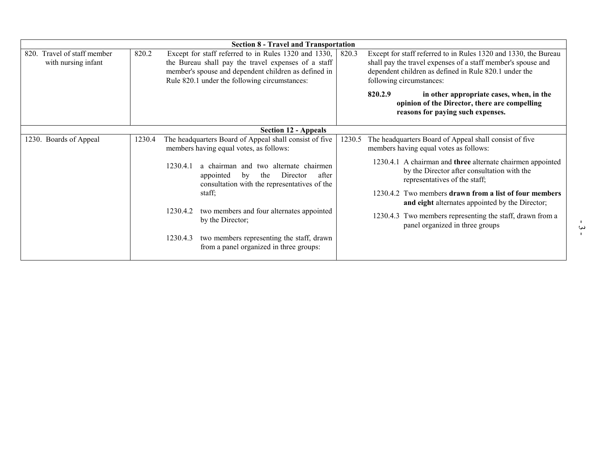| <b>Section 8 - Travel and Transportation</b>          |        |          |                                                                                                                                                                                                                      |        |                                                                                                                                                                                                                      |  |  |  |  |
|-------------------------------------------------------|--------|----------|----------------------------------------------------------------------------------------------------------------------------------------------------------------------------------------------------------------------|--------|----------------------------------------------------------------------------------------------------------------------------------------------------------------------------------------------------------------------|--|--|--|--|
| Travel of staff member<br>820.<br>with nursing infant | 820.2  |          | Except for staff referred to in Rules 1320 and 1330,<br>the Bureau shall pay the travel expenses of a staff<br>member's spouse and dependent children as defined in<br>Rule 820.1 under the following circumstances: |        | Except for staff referred to in Rules 1320 and 1330, the Bureau<br>shall pay the travel expenses of a staff member's spouse and<br>dependent children as defined in Rule 820.1 under the<br>following circumstances: |  |  |  |  |
|                                                       |        |          |                                                                                                                                                                                                                      |        | 820.2.9<br>in other appropriate cases, when, in the<br>opinion of the Director, there are compelling<br>reasons for paying such expenses.                                                                            |  |  |  |  |
|                                                       |        |          | <b>Section 12 - Appeals</b>                                                                                                                                                                                          |        |                                                                                                                                                                                                                      |  |  |  |  |
| 1230. Boards of Appeal                                | 1230.4 |          | The headquarters Board of Appeal shall consist of five<br>members having equal votes, as follows:                                                                                                                    | 1230.5 | The headquarters Board of Appeal shall consist of five<br>members having equal votes as follows:                                                                                                                     |  |  |  |  |
|                                                       |        | 1230.4.1 | a chairman and two alternate chairmen<br>the<br>Director<br>appointed<br>by<br>after<br>consultation with the representatives of the                                                                                 |        | 1230.4.1 A chairman and three alternate chairmen appointed<br>by the Director after consultation with the<br>representatives of the staff;                                                                           |  |  |  |  |
|                                                       |        |          | staff;                                                                                                                                                                                                               |        | 1230.4.2 Two members drawn from a list of four members<br>and eight alternates appointed by the Director;                                                                                                            |  |  |  |  |
|                                                       |        | 1230.4.2 | two members and four alternates appointed<br>by the Director;                                                                                                                                                        |        | 1230.4.3 Two members representing the staff, drawn from a<br>panel organized in three groups                                                                                                                         |  |  |  |  |
|                                                       |        | 1230.4.3 | two members representing the staff, drawn<br>from a panel organized in three groups:                                                                                                                                 |        |                                                                                                                                                                                                                      |  |  |  |  |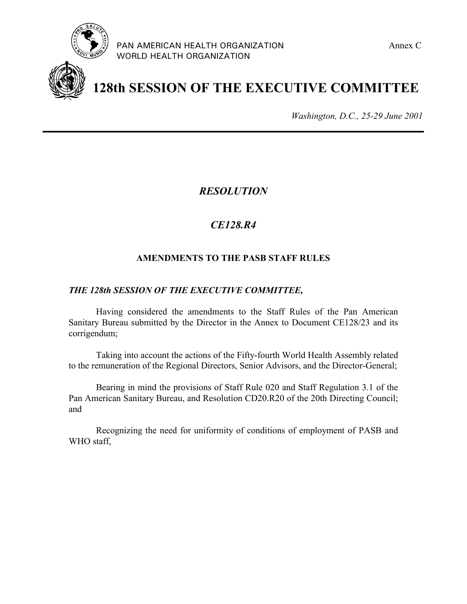



**128th SESSION OF THE EXECUTIVE COMMITTEE**

*Washington, D.C., 25-29 June 2001*

*RESOLUTION*

# *CE128.R4*

## **AMENDMENTS TO THE PASB STAFF RULES**

## *THE 128th SESSION OF THE EXECUTIVE COMMITTEE,*

Having considered the amendments to the Staff Rules of the Pan American Sanitary Bureau submitted by the Director in the Annex to Document CE128/23 and its corrigendum;

Taking into account the actions of the Fifty-fourth World Health Assembly related to the remuneration of the Regional Directors, Senior Advisors, and the Director-General;

Bearing in mind the provisions of Staff Rule 020 and Staff Regulation 3.1 of the Pan American Sanitary Bureau, and Resolution CD20.R20 of the 20th Directing Council; and

Recognizing the need for uniformity of conditions of employment of PASB and WHO staff,